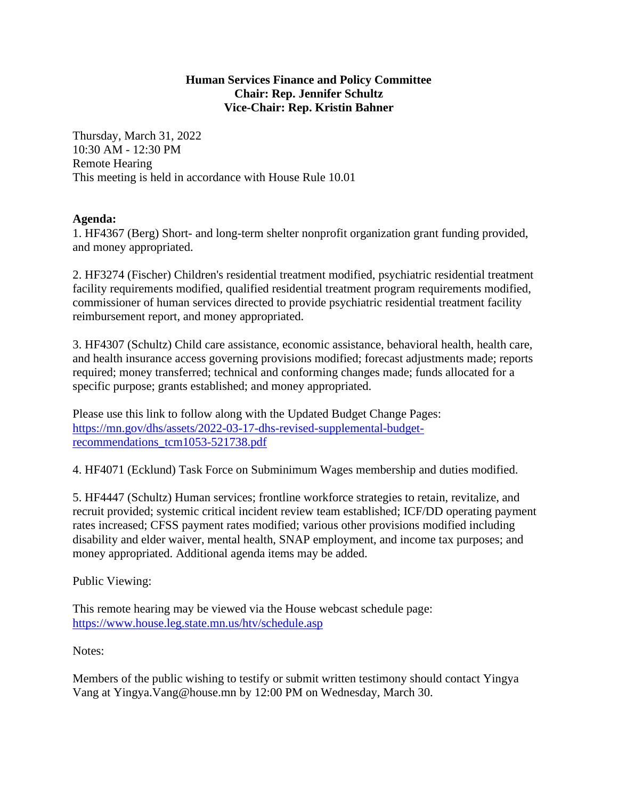## **Human Services Finance and Policy Committee Chair: Rep. Jennifer Schultz Vice-Chair: Rep. Kristin Bahner**

Thursday, March 31, 2022 10:30 AM - 12:30 PM Remote Hearing This meeting is held in accordance with House Rule 10.01

## **Agenda:**

1. HF4367 (Berg) Short- and long-term shelter nonprofit organization grant funding provided, and money appropriated.

2. HF3274 (Fischer) Children's residential treatment modified, psychiatric residential treatment facility requirements modified, qualified residential treatment program requirements modified, commissioner of human services directed to provide psychiatric residential treatment facility reimbursement report, and money appropriated.

3. HF4307 (Schultz) Child care assistance, economic assistance, behavioral health, health care, and health insurance access governing provisions modified; forecast adjustments made; reports required; money transferred; technical and conforming changes made; funds allocated for a specific purpose; grants established; and money appropriated.

Please use this link to follow along with the Updated Budget Change Pages: [https://mn.gov/dhs/assets/2022-03-17-dhs-revised-supplemental-budget](https://mn.gov/dhs/assets/2022-03-17-dhs-revised-supplemental-budget-recommendations_tcm1053-521738.pdf)[recommendations\\_tcm1053-521738.pdf](https://mn.gov/dhs/assets/2022-03-17-dhs-revised-supplemental-budget-recommendations_tcm1053-521738.pdf)

4. HF4071 (Ecklund) Task Force on Subminimum Wages membership and duties modified.

5. HF4447 (Schultz) Human services; frontline workforce strategies to retain, revitalize, and recruit provided; systemic critical incident review team established; ICF/DD operating payment rates increased; CFSS payment rates modified; various other provisions modified including disability and elder waiver, mental health, SNAP employment, and income tax purposes; and money appropriated. Additional agenda items may be added.

Public Viewing:

This remote hearing may be viewed via the House webcast schedule page: <https://www.house.leg.state.mn.us/htv/schedule.asp>

Notes:

Members of the public wishing to testify or submit written testimony should contact Yingya Vang at Yingya.Vang@house.mn by 12:00 PM on Wednesday, March 30.